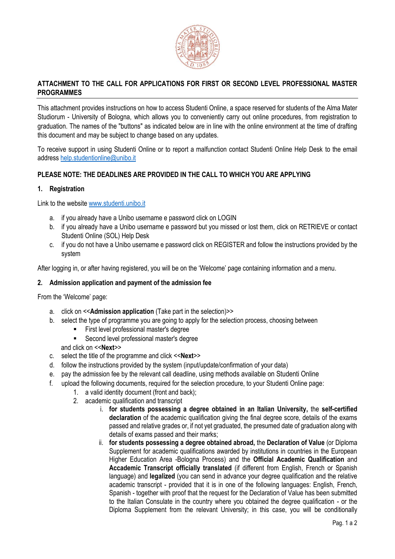

# **ATTACHMENT TO THE CALL FOR APPLICATIONS FOR FIRST OR SECOND LEVEL PROFESSIONAL MASTER PROGRAMMES**

This attachment provides instructions on how to access Studenti Online, a space reserved for students of the Alma Mater Studiorum - University of Bologna, which allows you to conveniently carry out online procedures, from registration to graduation. The names of the "buttons" as indicated below are in line with the online environment at the time of drafting this document and may be subject to change based on any updates.

To receive support in using Studenti Online or to report a malfunction contact Studenti Online Help Desk to the email address [help.studentionline@unibo.it](mailto:help.studentionline@unibo.it)

## **PLEASE NOTE: THE DEADLINES ARE PROVIDED IN THE CALL TO WHICH YOU ARE APPLYING**

### **1. Registration**

Link to the website [www.studenti.unibo.it](http://www.studenti.unibo.it/)

- a. if you already have a Unibo username e password click on LOGIN
- b. if you already have a Unibo username e password but you missed or lost them, click on RETRIEVE or contact Studenti Online (SOL) Help Desk
- c. if you do not have a Unibo username e password click on REGISTER and follow the instructions provided by the system

After logging in, or after having registered, you will be on the 'Welcome' page containing information and a menu.

## **2. Admission application and payment of the admission fee**

From the 'Welcome' page:

- a. click on <<**Admission application** (Take part in the selection)>>
- b. select the type of programme you are going to apply for the selection process, choosing between
	- First level professional master's degree
	- Second level professional master's degree

### and click on <<**Next**>>

- c. select the title of the programme and click <<**Next**>>
- d. follow the instructions provided by the system (input/update/confirmation of your data)
- e. pay the admission fee by the relevant call deadline, using methods available on Studenti Online
- f. upload the following documents, required for the selection procedure, to your Studenti Online page:
	- 1. a valid identity document (front and back);
	- 2. academic qualification and transcript
		- i. **for students possessing a degree obtained in an Italian University,** the **self-certified declaration** of the academic qualification giving the final degree score, details of the exams passed and relative grades or, if not yet graduated, the presumed date of graduation along with details of exams passed and their marks;
		- ii. **for students possessing a degree obtained abroad,** the **Declaration of Value** (or Diploma Supplement for academic qualifications awarded by institutions in countries in the European Higher Education Area -Bologna Process) and the **Official Academic Qualification** and **Accademic Transcript officially translated** (if different from English, French or Spanish language) and **legalized** (you can send in advance your degree qualification and the relative academic transcript - provided that it is in one of the following languages: English, French, Spanish - together with proof that the request for the Declaration of Value has been submitted to the Italian Consulate in the country where you obtained the degree qualification - or the Diploma Supplement from the relevant University; in this case, you will be conditionally